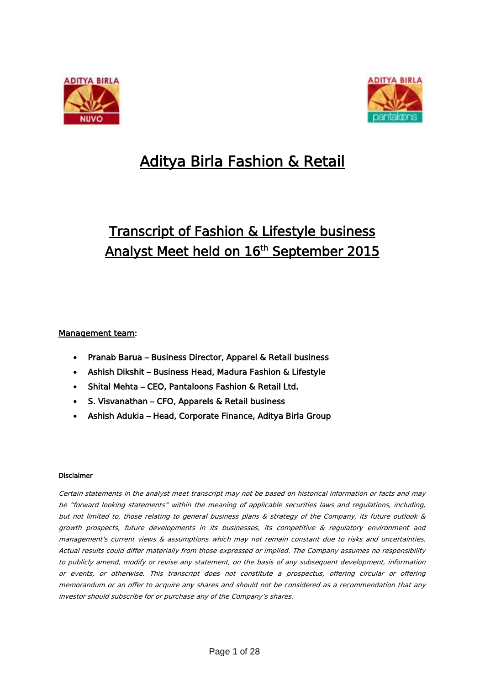



# Aditya Birla Fashion & Retail

## Transcript of Fashion & Lifestyle business Analyst Meet held on 16<sup>th</sup> September 2015

## Management team:

- Pranab Barua Business Director, Apparel & Retail business
- Ashish Dikshit Business Head, Madura Fashion & Lifestyle
- Shital Mehta CEO, Pantaloons Fashion & Retail Ltd.
- S. Visvanathan CFO, Apparels & Retail business
- Ashish Adukia Head, Corporate Finance, Aditya Birla Group

### Disclaimer

Certain statements in the analyst meet transcript may not be based on historical information or facts and may be "forward looking statements" within the meaning of applicable securities laws and regulations, including, but not limited to, those relating to general business plans & strategy of the Company, its future outlook & growth prospects, future developments in its businesses, its competitive & regulatory environment and management's current views & assumptions which may not remain constant due to risks and uncertainties. Actual results could differ materially from those expressed or implied. The Company assumes no responsibility to publicly amend, modify or revise any statement, on the basis of any subsequent development, information or events, or otherwise. This transcript does not constitute a prospectus, offering circular or offering memorandum or an offer to acquire any shares and should not be considered as a recommendation that any investor should subscribe for or purchase any of the Company's shares.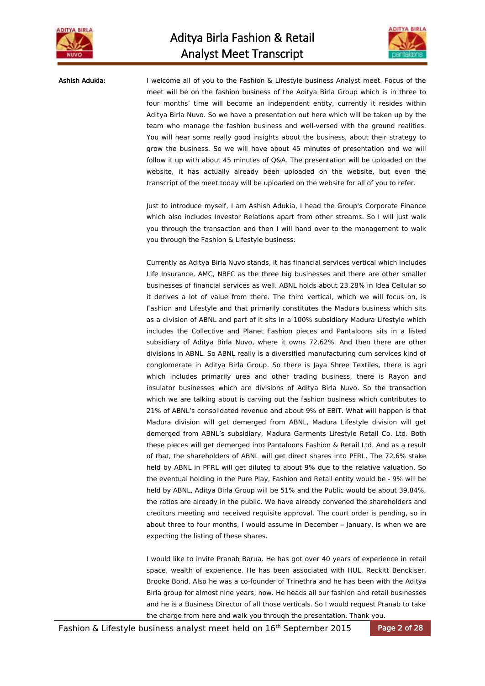



Ashish Adukia: I welcome all of you to the Fashion & Lifestyle business Analyst meet. Focus of the meet will be on the fashion business of the Aditya Birla Group which is in three to four months' time will become an independent entity, currently it resides within Aditya Birla Nuvo. So we have a presentation out here which will be taken up by the team who manage the fashion business and well-versed with the ground realities. You will hear some really good insights about the business, about their strategy to grow the business. So we will have about 45 minutes of presentation and we will follow it up with about 45 minutes of Q&A. The presentation will be uploaded on the website, it has actually already been uploaded on the website, but even the transcript of the meet today will be uploaded on the website for all of you to refer.

> Just to introduce myself, I am Ashish Adukia, I head the Group's Corporate Finance which also includes Investor Relations apart from other streams. So I will just walk you through the transaction and then I will hand over to the management to walk you through the Fashion & Lifestyle business.

> Currently as Aditya Birla Nuvo stands, it has financial services vertical which includes Life Insurance, AMC, NBFC as the three big businesses and there are other smaller businesses of financial services as well. ABNL holds about 23.28% in Idea Cellular so it derives a lot of value from there. The third vertical, which we will focus on, is Fashion and Lifestyle and that primarily constitutes the Madura business which sits as a division of ABNL and part of it sits in a 100% subsidiary Madura Lifestyle which includes the Collective and Planet Fashion pieces and Pantaloons sits in a listed subsidiary of Aditya Birla Nuvo, where it owns 72.62%. And then there are other divisions in ABNL. So ABNL really is a diversified manufacturing cum services kind of conglomerate in Aditya Birla Group. So there is Jaya Shree Textiles, there is agri which includes primarily urea and other trading business, there is Rayon and insulator businesses which are divisions of Aditya Birla Nuvo. So the transaction which we are talking about is carving out the fashion business which contributes to 21% of ABNL's consolidated revenue and about 9% of EBIT. What will happen is that Madura division will get demerged from ABNL, Madura Lifestyle division will get demerged from ABNL's subsidiary, Madura Garments Lifestyle Retail Co. Ltd. Both these pieces will get demerged into Pantaloons Fashion & Retail Ltd. And as a result of that, the shareholders of ABNL will get direct shares into PFRL. The 72.6% stake held by ABNL in PFRL will get diluted to about 9% due to the relative valuation. So the eventual holding in the Pure Play, Fashion and Retail entity would be - 9% will be held by ABNL, Aditya Birla Group will be 51% and the Public would be about 39.84%, the ratios are already in the public. We have already convened the shareholders and creditors meeting and received requisite approval. The court order is pending, so in about three to four months, I would assume in December – January, is when we are expecting the listing of these shares.

> I would like to invite Pranab Barua. He has got over 40 years of experience in retail space, wealth of experience. He has been associated with HUL, Reckitt Benckiser, Brooke Bond. Also he was a co-founder of Trinethra and he has been with the Aditya Birla group for almost nine years, now. He heads all our fashion and retail businesses and he is a Business Director of all those verticals. So I would request Pranab to take the charge from here and walk you through the presentation. Thank you.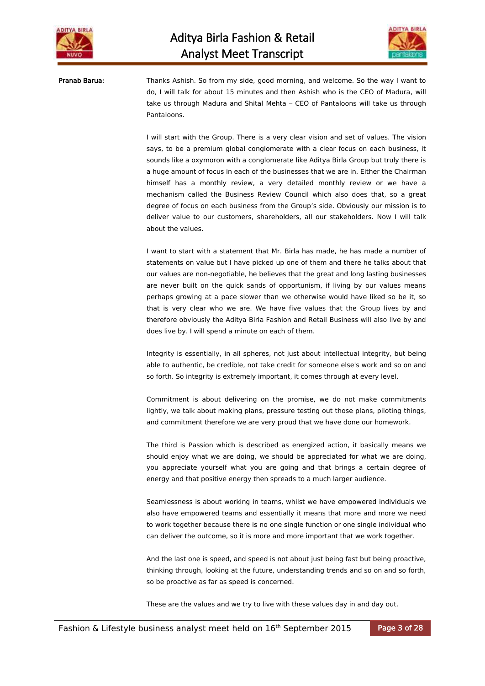



Pranab Barua: Thanks Ashish. So from my side, good morning, and welcome. So the way I want to do, I will talk for about 15 minutes and then Ashish who is the CEO of Madura, will take us through Madura and Shital Mehta – CEO of Pantaloons will take us through Pantaloons.

> I will start with the Group. There is a very clear vision and set of values. The vision says, to be a premium global conglomerate with a clear focus on each business, it sounds like a oxymoron with a conglomerate like Aditya Birla Group but truly there is a huge amount of focus in each of the businesses that we are in. Either the Chairman himself has a monthly review, a very detailed monthly review or we have a mechanism called the Business Review Council which also does that, so a great degree of focus on each business from the Group's side. Obviously our mission is to deliver value to our customers, shareholders, all our stakeholders. Now I will talk about the values.

> I want to start with a statement that Mr. Birla has made, he has made a number of statements on value but I have picked up one of them and there he talks about that our values are non-negotiable, he believes that the great and long lasting businesses are never built on the quick sands of opportunism, if living by our values means perhaps growing at a pace slower than we otherwise would have liked so be it, so that is very clear who we are. We have five values that the Group lives by and therefore obviously the Aditya Birla Fashion and Retail Business will also live by and does live by. I will spend a minute on each of them.

> Integrity is essentially, in all spheres, not just about intellectual integrity, but being able to authentic, be credible, not take credit for someone else's work and so on and so forth. So integrity is extremely important, it comes through at every level.

> Commitment is about delivering on the promise, we do not make commitments lightly, we talk about making plans, pressure testing out those plans, piloting things, and commitment therefore we are very proud that we have done our homework.

> The third is Passion which is described as energized action, it basically means we should enjoy what we are doing, we should be appreciated for what we are doing, you appreciate yourself what you are going and that brings a certain degree of energy and that positive energy then spreads to a much larger audience.

> Seamlessness is about working in teams, whilst we have empowered individuals we also have empowered teams and essentially it means that more and more we need to work together because there is no one single function or one single individual who can deliver the outcome, so it is more and more important that we work together.

> And the last one is speed, and speed is not about just being fast but being proactive, thinking through, looking at the future, understanding trends and so on and so forth, so be proactive as far as speed is concerned.

These are the values and we try to live with these values day in and day out.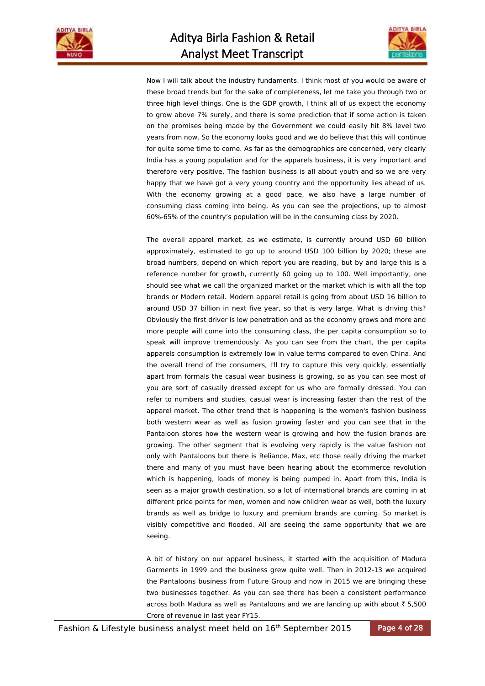



Now I will talk about the industry fundaments. I think most of you would be aware of these broad trends but for the sake of completeness, let me take you through two or three high level things. One is the GDP growth, I think all of us expect the economy to grow above 7% surely, and there is some prediction that if some action is taken on the promises being made by the Government we could easily hit 8% level two years from now. So the economy looks good and we do believe that this will continue for quite some time to come. As far as the demographics are concerned, very clearly India has a young population and for the apparels business, it is very important and therefore very positive. The fashion business is all about youth and so we are very happy that we have got a very young country and the opportunity lies ahead of us. With the economy growing at a good pace, we also have a large number of consuming class coming into being. As you can see the projections, up to almost 60%-65% of the country's population will be in the consuming class by 2020.

The overall apparel market, as we estimate, is currently around USD 60 billion approximately, estimated to go up to around USD 100 billion by 2020; these are broad numbers, depend on which report you are reading, but by and large this is a reference number for growth, currently 60 going up to 100. Well importantly, one should see what we call the organized market or the market which is with all the top brands or Modern retail. Modern apparel retail is going from about USD 16 billion to around USD 37 billion in next five year, so that is very large. What is driving this? Obviously the first driver is low penetration and as the economy grows and more and more people will come into the consuming class, the per capita consumption so to speak will improve tremendously. As you can see from the chart, the per capita apparels consumption is extremely low in value terms compared to even China. And the overall trend of the consumers, I'll try to capture this very quickly, essentially apart from formals the casual wear business is growing, so as you can see most of you are sort of casually dressed except for us who are formally dressed. You can refer to numbers and studies, casual wear is increasing faster than the rest of the apparel market. The other trend that is happening is the women's fashion business both western wear as well as fusion growing faster and you can see that in the Pantaloon stores how the western wear is growing and how the fusion brands are growing. The other segment that is evolving very rapidly is the value fashion not only with Pantaloons but there is Reliance, Max, etc those really driving the market there and many of you must have been hearing about the ecommerce revolution which is happening, loads of money is being pumped in. Apart from this, India is seen as a major growth destination, so a lot of international brands are coming in at different price points for men, women and now children wear as well, both the luxury brands as well as bridge to luxury and premium brands are coming. So market is visibly competitive and flooded. All are seeing the same opportunity that we are seeing.

A bit of history on our apparel business, it started with the acquisition of Madura Garments in 1999 and the business grew quite well. Then in 2012-13 we acquired the Pantaloons business from Future Group and now in 2015 we are bringing these two businesses together. As you can see there has been a consistent performance across both Madura as well as Pantaloons and we are landing up with about  $\bar{z}$  5,500 Crore of revenue in last year FY15.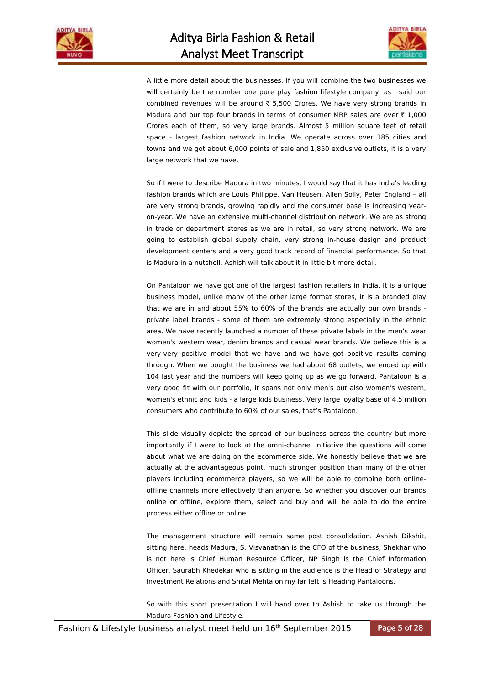



A little more detail about the businesses. If you will combine the two businesses we will certainly be the number one pure play fashion lifestyle company, as I said our combined revenues will be around  $\bar{\tau}$  5,500 Crores. We have very strong brands in Madura and our top four brands in terms of consumer MRP sales are over  $\bar{\tau}$  1,000 Crores each of them, so very large brands. Almost 5 million square feet of retail space - largest fashion network in India. We operate across over 185 cities and towns and we got about 6,000 points of sale and 1,850 exclusive outlets, it is a very large network that we have.

So if I were to describe Madura in two minutes, I would say that it has India's leading fashion brands which are Louis Philippe, Van Heusen, Allen Solly, Peter England – all are very strong brands, growing rapidly and the consumer base is increasing yearon-year. We have an extensive multi-channel distribution network. We are as strong in trade or department stores as we are in retail, so very strong network. We are going to establish global supply chain, very strong in-house design and product development centers and a very good track record of financial performance. So that is Madura in a nutshell. Ashish will talk about it in little bit more detail.

On Pantaloon we have got one of the largest fashion retailers in India. It is a unique business model, unlike many of the other large format stores, it is a branded play that we are in and about 55% to 60% of the brands are actually our own brands private label brands - some of them are extremely strong especially in the ethnic area. We have recently launched a number of these private labels in the men's wear women's western wear, denim brands and casual wear brands. We believe this is a very-very positive model that we have and we have got positive results coming through. When we bought the business we had about 68 outlets, we ended up with 104 last year and the numbers will keep going up as we go forward. Pantaloon is a very good fit with our portfolio, it spans not only men's but also women's western, women's ethnic and kids - a large kids business, Very large loyalty base of 4.5 million consumers who contribute to 60% of our sales, that's Pantaloon.

This slide visually depicts the spread of our business across the country but more importantly if I were to look at the omni-channel initiative the questions will come about what we are doing on the ecommerce side. We honestly believe that we are actually at the advantageous point, much stronger position than many of the other players including ecommerce players, so we will be able to combine both onlineoffline channels more effectively than anyone. So whether you discover our brands online or offline, explore them, select and buy and will be able to do the entire process either offline or online.

The management structure will remain same post consolidation. Ashish Dikshit, sitting here, heads Madura, S. Visvanathan is the CFO of the business, Shekhar who is not here is Chief Human Resource Officer, NP Singh is the Chief Information Officer, Saurabh Khedekar who is sitting in the audience is the Head of Strategy and Investment Relations and Shital Mehta on my far left is Heading Pantaloons.

So with this short presentation I will hand over to Ashish to take us through the Madura Fashion and Lifestyle.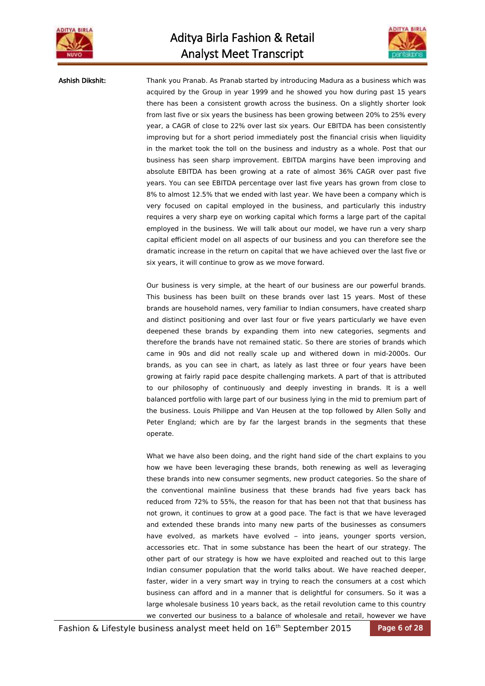



Ashish Dikshit: Thank you Pranab. As Pranab started by introducing Madura as a business which was acquired by the Group in year 1999 and he showed you how during past 15 years there has been a consistent growth across the business. On a slightly shorter look from last five or six years the business has been growing between 20% to 25% every year, a CAGR of close to 22% over last six years. Our EBITDA has been consistently improving but for a short period immediately post the financial crisis when liquidity in the market took the toll on the business and industry as a whole. Post that our business has seen sharp improvement. EBITDA margins have been improving and absolute EBITDA has been growing at a rate of almost 36% CAGR over past five years. You can see EBITDA percentage over last five years has grown from close to 8% to almost 12.5% that we ended with last year. We have been a company which is very focused on capital employed in the business, and particularly this industry requires a very sharp eye on working capital which forms a large part of the capital employed in the business. We will talk about our model, we have run a very sharp capital efficient model on all aspects of our business and you can therefore see the dramatic increase in the return on capital that we have achieved over the last five or six years, it will continue to grow as we move forward.

> Our business is very simple, at the heart of our business are our powerful brands. This business has been built on these brands over last 15 years. Most of these brands are household names, very familiar to Indian consumers, have created sharp and distinct positioning and over last four or five years particularly we have even deepened these brands by expanding them into new categories, segments and therefore the brands have not remained static. So there are stories of brands which came in 90s and did not really scale up and withered down in mid-2000s. Our brands, as you can see in chart, as lately as last three or four years have been growing at fairly rapid pace despite challenging markets. A part of that is attributed to our philosophy of continuously and deeply investing in brands. It is a well balanced portfolio with large part of our business lying in the mid to premium part of the business. Louis Philippe and Van Heusen at the top followed by Allen Solly and Peter England; which are by far the largest brands in the segments that these operate.

> What we have also been doing, and the right hand side of the chart explains to you how we have been leveraging these brands, both renewing as well as leveraging these brands into new consumer segments, new product categories. So the share of the conventional mainline business that these brands had five years back has reduced from 72% to 55%, the reason for that has been not that that business has not grown, it continues to grow at a good pace. The fact is that we have leveraged and extended these brands into many new parts of the businesses as consumers have evolved, as markets have evolved – into jeans, younger sports version, accessories etc. That in some substance has been the heart of our strategy. The other part of our strategy is how we have exploited and reached out to this large Indian consumer population that the world talks about. We have reached deeper, faster, wider in a very smart way in trying to reach the consumers at a cost which business can afford and in a manner that is delightful for consumers. So it was a large wholesale business 10 years back, as the retail revolution came to this country we converted our business to a balance of wholesale and retail, however we have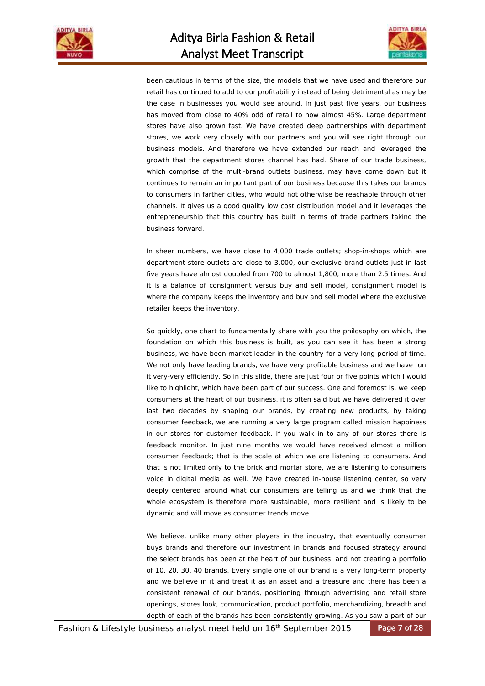



been cautious in terms of the size, the models that we have used and therefore our retail has continued to add to our profitability instead of being detrimental as may be the case in businesses you would see around. In just past five years, our business has moved from close to 40% odd of retail to now almost 45%. Large department stores have also grown fast. We have created deep partnerships with department stores, we work very closely with our partners and you will see right through our business models. And therefore we have extended our reach and leveraged the growth that the department stores channel has had. Share of our trade business, which comprise of the multi-brand outlets business, may have come down but it continues to remain an important part of our business because this takes our brands to consumers in farther cities, who would not otherwise be reachable through other channels. It gives us a good quality low cost distribution model and it leverages the entrepreneurship that this country has built in terms of trade partners taking the business forward.

In sheer numbers, we have close to 4,000 trade outlets; shop-in-shops which are department store outlets are close to 3,000, our exclusive brand outlets just in last five years have almost doubled from 700 to almost 1,800, more than 2.5 times. And it is a balance of consignment versus buy and sell model, consignment model is where the company keeps the inventory and buy and sell model where the exclusive retailer keeps the inventory.

So quickly, one chart to fundamentally share with you the philosophy on which, the foundation on which this business is built, as you can see it has been a strong business, we have been market leader in the country for a very long period of time. We not only have leading brands, we have very profitable business and we have run it very-very efficiently. So in this slide, there are just four or five points which I would like to highlight, which have been part of our success. One and foremost is, we keep consumers at the heart of our business, it is often said but we have delivered it over last two decades by shaping our brands, by creating new products, by taking consumer feedback, we are running a very large program called mission happiness in our stores for customer feedback. If you walk in to any of our stores there is feedback monitor. In just nine months we would have received almost a million consumer feedback; that is the scale at which we are listening to consumers. And that is not limited only to the brick and mortar store, we are listening to consumers voice in digital media as well. We have created in-house listening center, so very deeply centered around what our consumers are telling us and we think that the whole ecosystem is therefore more sustainable, more resilient and is likely to be dynamic and will move as consumer trends move.

We believe, unlike many other players in the industry, that eventually consumer buys brands and therefore our investment in brands and focused strategy around the select brands has been at the heart of our business, and not creating a portfolio of 10, 20, 30, 40 brands. Every single one of our brand is a very long-term property and we believe in it and treat it as an asset and a treasure and there has been a consistent renewal of our brands, positioning through advertising and retail store openings, stores look, communication, product portfolio, merchandizing, breadth and depth of each of the brands has been consistently growing. As you saw a part of our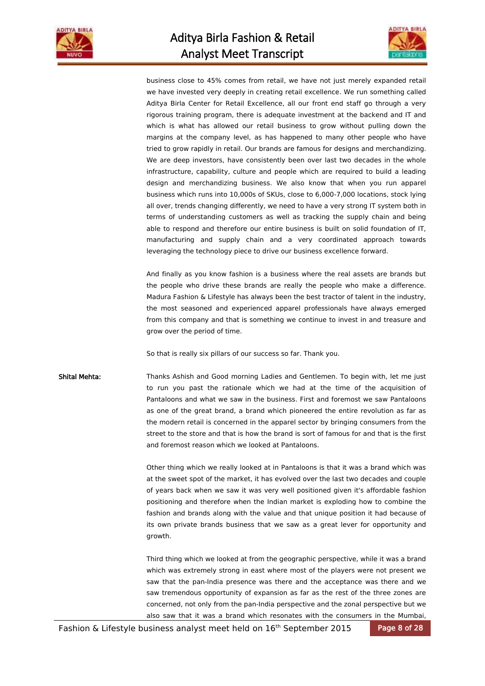



business close to 45% comes from retail, we have not just merely expanded retail we have invested very deeply in creating retail excellence. We run something called Aditya Birla Center for Retail Excellence, all our front end staff go through a very rigorous training program, there is adequate investment at the backend and IT and which is what has allowed our retail business to grow without pulling down the margins at the company level, as has happened to many other people who have tried to grow rapidly in retail. Our brands are famous for designs and merchandizing. We are deep investors, have consistently been over last two decades in the whole infrastructure, capability, culture and people which are required to build a leading design and merchandizing business. We also know that when you run apparel business which runs into 10,000s of SKUs, close to 6,000-7,000 locations, stock lying all over, trends changing differently, we need to have a very strong IT system both in terms of understanding customers as well as tracking the supply chain and being able to respond and therefore our entire business is built on solid foundation of IT, manufacturing and supply chain and a very coordinated approach towards leveraging the technology piece to drive our business excellence forward.

And finally as you know fashion is a business where the real assets are brands but the people who drive these brands are really the people who make a difference. Madura Fashion & Lifestyle has always been the best tractor of talent in the industry, the most seasoned and experienced apparel professionals have always emerged from this company and that is something we continue to invest in and treasure and grow over the period of time.

So that is really six pillars of our success so far. Thank you.

Shital Mehta: Thanks Ashish and Good morning Ladies and Gentlemen. To begin with, let me just to run you past the rationale which we had at the time of the acquisition of Pantaloons and what we saw in the business. First and foremost we saw Pantaloons as one of the great brand, a brand which pioneered the entire revolution as far as the modern retail is concerned in the apparel sector by bringing consumers from the street to the store and that is how the brand is sort of famous for and that is the first and foremost reason which we looked at Pantaloons.

> Other thing which we really looked at in Pantaloons is that it was a brand which was at the sweet spot of the market, it has evolved over the last two decades and couple of years back when we saw it was very well positioned given it's affordable fashion positioning and therefore when the Indian market is exploding how to combine the fashion and brands along with the value and that unique position it had because of its own private brands business that we saw as a great lever for opportunity and growth.

> Third thing which we looked at from the geographic perspective, while it was a brand which was extremely strong in east where most of the players were not present we saw that the pan-India presence was there and the acceptance was there and we saw tremendous opportunity of expansion as far as the rest of the three zones are concerned, not only from the pan-India perspective and the zonal perspective but we also saw that it was a brand which resonates with the consumers in the Mumbai,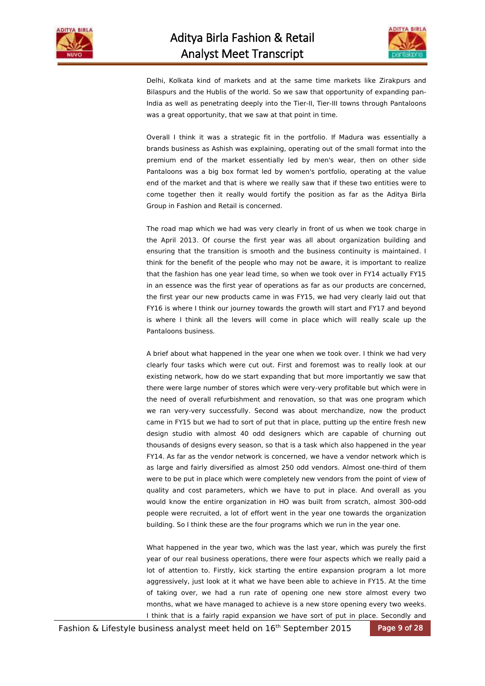



Delhi, Kolkata kind of markets and at the same time markets like Zirakpurs and Bilaspurs and the Hublis of the world. So we saw that opportunity of expanding pan-India as well as penetrating deeply into the Tier-II, Tier-III towns through Pantaloons was a great opportunity, that we saw at that point in time.

Overall I think it was a strategic fit in the portfolio. If Madura was essentially a brands business as Ashish was explaining, operating out of the small format into the premium end of the market essentially led by men's wear, then on other side Pantaloons was a big box format led by women's portfolio, operating at the value end of the market and that is where we really saw that if these two entities were to come together then it really would fortify the position as far as the Aditya Birla Group in Fashion and Retail is concerned.

The road map which we had was very clearly in front of us when we took charge in the April 2013. Of course the first year was all about organization building and ensuring that the transition is smooth and the business continuity is maintained. I think for the benefit of the people who may not be aware, it is important to realize that the fashion has one year lead time, so when we took over in FY14 actually FY15 in an essence was the first year of operations as far as our products are concerned, the first year our new products came in was FY15, we had very clearly laid out that FY16 is where I think our journey towards the growth will start and FY17 and beyond is where I think all the levers will come in place which will really scale up the Pantaloons business.

A brief about what happened in the year one when we took over. I think we had very clearly four tasks which were cut out. First and foremost was to really look at our existing network, how do we start expanding that but more importantly we saw that there were large number of stores which were very-very profitable but which were in the need of overall refurbishment and renovation, so that was one program which we ran very-very successfully. Second was about merchandize, now the product came in FY15 but we had to sort of put that in place, putting up the entire fresh new design studio with almost 40 odd designers which are capable of churning out thousands of designs every season, so that is a task which also happened in the year FY14. As far as the vendor network is concerned, we have a vendor network which is as large and fairly diversified as almost 250 odd vendors. Almost one-third of them were to be put in place which were completely new vendors from the point of view of quality and cost parameters, which we have to put in place. And overall as you would know the entire organization in HO was built from scratch, almost 300-odd people were recruited, a lot of effort went in the year one towards the organization building. So I think these are the four programs which we run in the year one.

What happened in the year two, which was the last year, which was purely the first year of our real business operations, there were four aspects which we really paid a lot of attention to. Firstly, kick starting the entire expansion program a lot more aggressively, just look at it what we have been able to achieve in FY15. At the time of taking over, we had a run rate of opening one new store almost every two months, what we have managed to achieve is a new store opening every two weeks. I think that is a fairly rapid expansion we have sort of put in place. Secondly and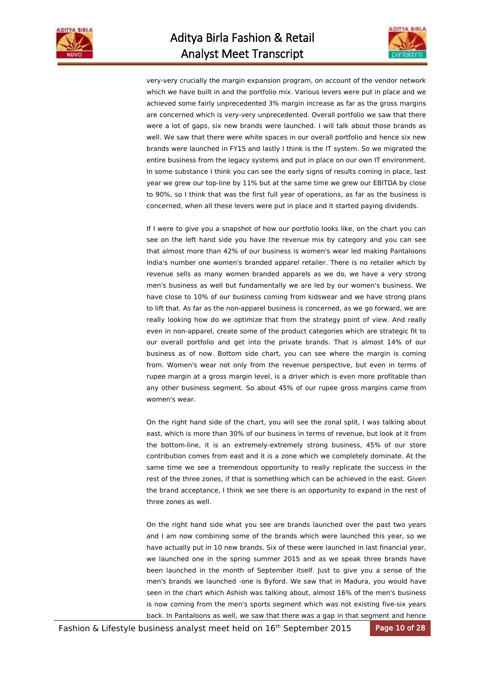



very-very crucially the margin expansion program, on account of the vendor network which we have built in and the portfolio mix. Various levers were put in place and we achieved some fairly unprecedented 3% margin increase as far as the gross margins are concerned which is very-very unprecedented. Overall portfolio we saw that there were a lot of gaps, six new brands were launched. I will talk about those brands as well. We saw that there were white spaces in our overall portfolio and hence six new brands were launched in FY15 and lastly I think is the IT system. So we migrated the entire business from the legacy systems and put in place on our own IT environment. In some substance I think you can see the early signs of results coming in place, last year we grew our top-line by 11% but at the same time we grew our EBITDA by close to 90%, so I think that was the first full year of operations, as far as the business is concerned, when all these levers were put in place and it started paying dividends.

If I were to give you a snapshot of how our portfolio looks like, on the chart you can see on the left hand side you have the revenue mix by category and you can see that almost more than 42% of our business is women's wear led making Pantaloons India's number one women's branded apparel retailer. There is no retailer which by revenue sells as many women branded apparels as we do, we have a very strong men's business as well but fundamentally we are led by our women's business. We have close to 10% of our business coming from kidswear and we have strong plans to lift that. As far as the non-apparel business is concerned, as we go forward, we are really looking how do we optimize that from the strategy point of view. And really even in non-apparel, create some of the product categories which are strategic fit to our overall portfolio and get into the private brands. That is almost 14% of our business as of now. Bottom side chart, you can see where the margin is coming from. Women's wear not only from the revenue perspective, but even in terms of rupee margin at a gross margin level, is a driver which is even more profitable than any other business segment. So about 45% of our rupee gross margins came from women's wear.

On the right hand side of the chart, you will see the zonal split, I was talking about east, which is more than 30% of our business in terms of revenue, but look at it from the bottom-line, it is an extremely-extremely strong business, 45% of our store contribution comes from east and it is a zone which we completely dominate. At the same time we see a tremendous opportunity to really replicate the success in the rest of the three zones, if that is something which can be achieved in the east. Given the brand acceptance, I think we see there is an opportunity to expand in the rest of three zones as well.

On the right hand side what you see are brands launched over the past two years and I am now combining some of the brands which were launched this year, so we have actually put in 10 new brands. Six of these were launched in last financial year, we launched one in the spring summer 2015 and as we speak three brands have been launched in the month of September itself. Just to give you a sense of the men's brands we launched -one is Byford. We saw that in Madura, you would have seen in the chart which Ashish was talking about, almost 16% of the men's business is now coming from the men's sports segment which was not existing five-six years back. In Pantaloons as well, we saw that there was a gap in that segment and hence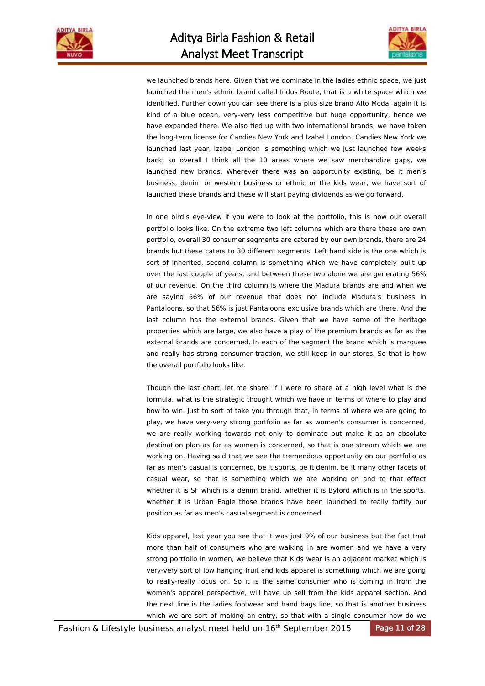



we launched brands here. Given that we dominate in the ladies ethnic space, we just launched the men's ethnic brand called Indus Route, that is a white space which we identified. Further down you can see there is a plus size brand Alto Moda, again it is kind of a blue ocean, very-very less competitive but huge opportunity, hence we have expanded there. We also tied up with two international brands, we have taken the long-term license for Candies New York and Izabel London. Candies New York we launched last year, Izabel London is something which we just launched few weeks back, so overall I think all the 10 areas where we saw merchandize gaps, we launched new brands. Wherever there was an opportunity existing, be it men's business, denim or western business or ethnic or the kids wear, we have sort of launched these brands and these will start paying dividends as we go forward.

In one bird's eye-view if you were to look at the portfolio, this is how our overall portfolio looks like. On the extreme two left columns which are there these are own portfolio, overall 30 consumer segments are catered by our own brands, there are 24 brands but these caters to 30 different segments. Left hand side is the one which is sort of inherited, second column is something which we have completely built up over the last couple of years, and between these two alone we are generating 56% of our revenue. On the third column is where the Madura brands are and when we are saying 56% of our revenue that does not include Madura's business in Pantaloons, so that 56% is just Pantaloons exclusive brands which are there. And the last column has the external brands. Given that we have some of the heritage properties which are large, we also have a play of the premium brands as far as the external brands are concerned. In each of the segment the brand which is marquee and really has strong consumer traction, we still keep in our stores. So that is how the overall portfolio looks like.

Though the last chart, let me share, if I were to share at a high level what is the formula, what is the strategic thought which we have in terms of where to play and how to win. Just to sort of take you through that, in terms of where we are going to play, we have very-very strong portfolio as far as women's consumer is concerned, we are really working towards not only to dominate but make it as an absolute destination plan as far as women is concerned, so that is one stream which we are working on. Having said that we see the tremendous opportunity on our portfolio as far as men's casual is concerned, be it sports, be it denim, be it many other facets of casual wear, so that is something which we are working on and to that effect whether it is SF which is a denim brand, whether it is Byford which is in the sports, whether it is Urban Eagle those brands have been launched to really fortify our position as far as men's casual segment is concerned.

Kids apparel, last year you see that it was just 9% of our business but the fact that more than half of consumers who are walking in are women and we have a very strong portfolio in women, we believe that Kids wear is an adjacent market which is very-very sort of low hanging fruit and kids apparel is something which we are going to really-really focus on. So it is the same consumer who is coming in from the women's apparel perspective, will have up sell from the kids apparel section. And the next line is the ladies footwear and hand bags line, so that is another business which we are sort of making an entry, so that with a single consumer how do we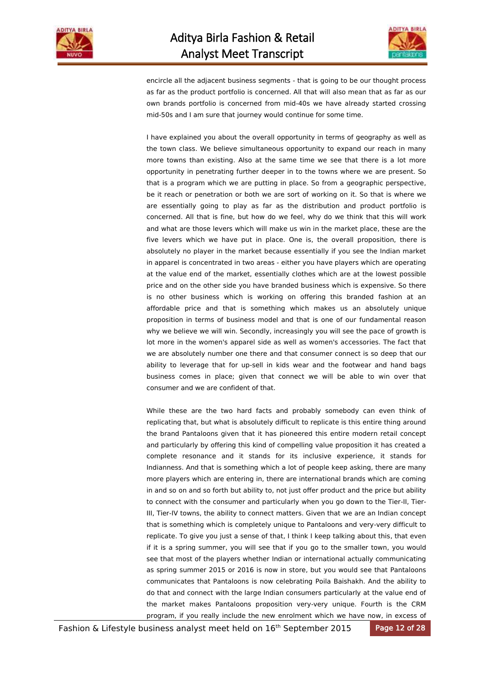



encircle all the adjacent business segments - that is going to be our thought process as far as the product portfolio is concerned. All that will also mean that as far as our own brands portfolio is concerned from mid-40s we have already started crossing mid-50s and I am sure that journey would continue for some time.

I have explained you about the overall opportunity in terms of geography as well as the town class. We believe simultaneous opportunity to expand our reach in many more towns than existing. Also at the same time we see that there is a lot more opportunity in penetrating further deeper in to the towns where we are present. So that is a program which we are putting in place. So from a geographic perspective, be it reach or penetration or both we are sort of working on it. So that is where we are essentially going to play as far as the distribution and product portfolio is concerned. All that is fine, but how do we feel, why do we think that this will work and what are those levers which will make us win in the market place, these are the five levers which we have put in place. One is, the overall proposition, there is absolutely no player in the market because essentially if you see the Indian market in apparel is concentrated in two areas - either you have players which are operating at the value end of the market, essentially clothes which are at the lowest possible price and on the other side you have branded business which is expensive. So there is no other business which is working on offering this branded fashion at an affordable price and that is something which makes us an absolutely unique proposition in terms of business model and that is one of our fundamental reason why we believe we will win. Secondly, increasingly you will see the pace of growth is lot more in the women's apparel side as well as women's accessories. The fact that we are absolutely number one there and that consumer connect is so deep that our ability to leverage that for up-sell in kids wear and the footwear and hand bags business comes in place; given that connect we will be able to win over that consumer and we are confident of that.

While these are the two hard facts and probably somebody can even think of replicating that, but what is absolutely difficult to replicate is this entire thing around the brand Pantaloons given that it has pioneered this entire modern retail concept and particularly by offering this kind of compelling value proposition it has created a complete resonance and it stands for its inclusive experience, it stands for Indianness. And that is something which a lot of people keep asking, there are many more players which are entering in, there are international brands which are coming in and so on and so forth but ability to, not just offer product and the price but ability to connect with the consumer and particularly when you go down to the Tier-II, Tier-III, Tier-IV towns, the ability to connect matters. Given that we are an Indian concept that is something which is completely unique to Pantaloons and very-very difficult to replicate. To give you just a sense of that, I think I keep talking about this, that even if it is a spring summer, you will see that if you go to the smaller town, you would see that most of the players whether Indian or international actually communicating as spring summer 2015 or 2016 is now in store, but you would see that Pantaloons communicates that Pantaloons is now celebrating Poila Baishakh. And the ability to do that and connect with the large Indian consumers particularly at the value end of the market makes Pantaloons proposition very-very unique. Fourth is the CRM program, if you really include the new enrolment which we have now, in excess of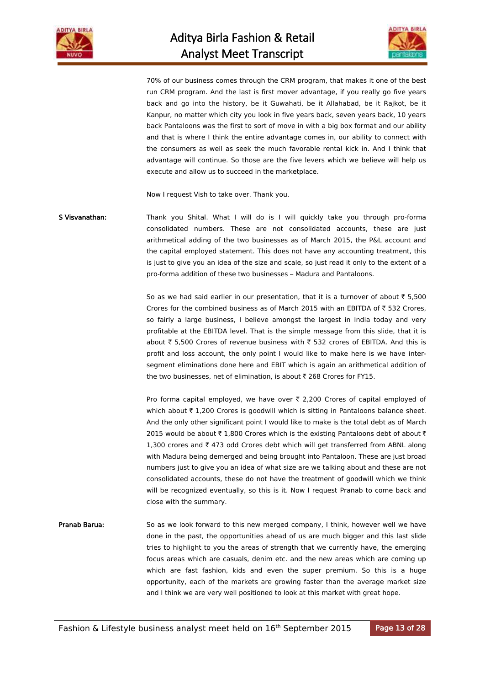



70% of our business comes through the CRM program, that makes it one of the best run CRM program. And the last is first mover advantage, if you really go five years back and go into the history, be it Guwahati, be it Allahabad, be it Rajkot, be it Kanpur, no matter which city you look in five years back, seven years back, 10 years back Pantaloons was the first to sort of move in with a big box format and our ability and that is where I think the entire advantage comes in, our ability to connect with the consumers as well as seek the much favorable rental kick in. And I think that advantage will continue. So those are the five levers which we believe will help us execute and allow us to succeed in the marketplace.

Now I request Vish to take over. Thank you.

S Visvanathan: Thank you Shital. What I will do is I will quickly take you through pro-forma consolidated numbers. These are not consolidated accounts, these are just arithmetical adding of the two businesses as of March 2015, the P&L account and the capital employed statement. This does not have any accounting treatment, this is just to give you an idea of the size and scale, so just read it only to the extent of a pro-forma addition of these two businesses – Madura and Pantaloons.

> So as we had said earlier in our presentation, that it is a turnover of about  $\bar{z}$  5,500 Crores for the combined business as of March 2015 with an EBITDA of  $\bar{\tau}$  532 Crores, so fairly a large business, I believe amongst the largest in India today and very profitable at the EBITDA level. That is the simple message from this slide, that it is about ₹ 5,500 Crores of revenue business with ₹ 532 crores of EBITDA. And this is profit and loss account, the only point I would like to make here is we have intersegment eliminations done here and EBIT which is again an arithmetical addition of the two businesses, net of elimination, is about  $\bar{\tau}$  268 Crores for FY15.

> Pro forma capital employed, we have over  $\bar{\tau}$  2,200 Crores of capital employed of which about  $\bar{\tau}$  1,200 Crores is goodwill which is sitting in Pantaloons balance sheet. And the only other significant point I would like to make is the total debt as of March 2015 would be about  $\bar{\tau}$  1,800 Crores which is the existing Pantaloons debt of about  $\bar{\tau}$ 1,300 crores and  $\bar{\tau}$  473 odd Crores debt which will get transferred from ABNL along with Madura being demerged and being brought into Pantaloon. These are just broad numbers just to give you an idea of what size are we talking about and these are not consolidated accounts, these do not have the treatment of goodwill which we think will be recognized eventually, so this is it. Now I request Pranab to come back and close with the summary.

Pranab Barua: So as we look forward to this new merged company, I think, however well we have done in the past, the opportunities ahead of us are much bigger and this last slide tries to highlight to you the areas of strength that we currently have, the emerging focus areas which are casuals, denim etc. and the new areas which are coming up which are fast fashion, kids and even the super premium. So this is a huge opportunity, each of the markets are growing faster than the average market size and I think we are very well positioned to look at this market with great hope.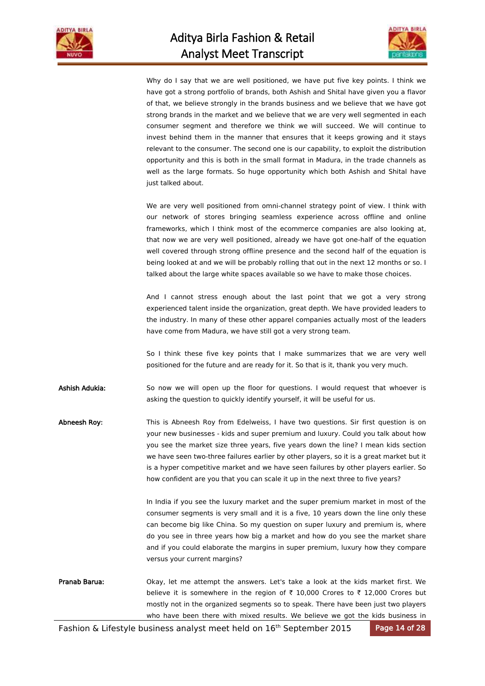



Why do I say that we are well positioned, we have put five key points. I think we have got a strong portfolio of brands, both Ashish and Shital have given you a flavor of that, we believe strongly in the brands business and we believe that we have got strong brands in the market and we believe that we are very well segmented in each consumer segment and therefore we think we will succeed. We will continue to invest behind them in the manner that ensures that it keeps growing and it stays relevant to the consumer. The second one is our capability, to exploit the distribution opportunity and this is both in the small format in Madura, in the trade channels as well as the large formats. So huge opportunity which both Ashish and Shital have just talked about.

We are very well positioned from omni-channel strategy point of view. I think with our network of stores bringing seamless experience across offline and online frameworks, which I think most of the ecommerce companies are also looking at, that now we are very well positioned, already we have got one-half of the equation well covered through strong offline presence and the second half of the equation is being looked at and we will be probably rolling that out in the next 12 months or so. I talked about the large white spaces available so we have to make those choices.

And I cannot stress enough about the last point that we got a very strong experienced talent inside the organization, great depth. We have provided leaders to the industry. In many of these other apparel companies actually most of the leaders have come from Madura, we have still got a very strong team.

So I think these five key points that I make summarizes that we are very well positioned for the future and are ready for it. So that is it, thank you very much.

Ashish Adukia: So now we will open up the floor for questions. I would request that whoever is asking the question to quickly identify yourself, it will be useful for us.

Abneesh Roy: This is Abneesh Roy from Edelweiss, I have two questions. Sir first question is on your new businesses - kids and super premium and luxury. Could you talk about how you see the market size three years, five years down the line? I mean kids section we have seen two-three failures earlier by other players, so it is a great market but it is a hyper competitive market and we have seen failures by other players earlier. So how confident are you that you can scale it up in the next three to five years?

> In India if you see the luxury market and the super premium market in most of the consumer segments is very small and it is a five, 10 years down the line only these can become big like China. So my question on super luxury and premium is, where do you see in three years how big a market and how do you see the market share and if you could elaborate the margins in super premium, luxury how they compare versus your current margins?

Pranab Barua: Okay, let me attempt the answers. Let's take a look at the kids market first. We believe it is somewhere in the region of  $\bar{\tau}$  10,000 Crores to  $\bar{\tau}$  12,000 Crores but mostly not in the organized segments so to speak. There have been just two players who have been there with mixed results. We believe we got the kids business in

Fashion & Lifestyle business analyst meet held on 16<sup>th</sup> September 2015 Page 14 of 28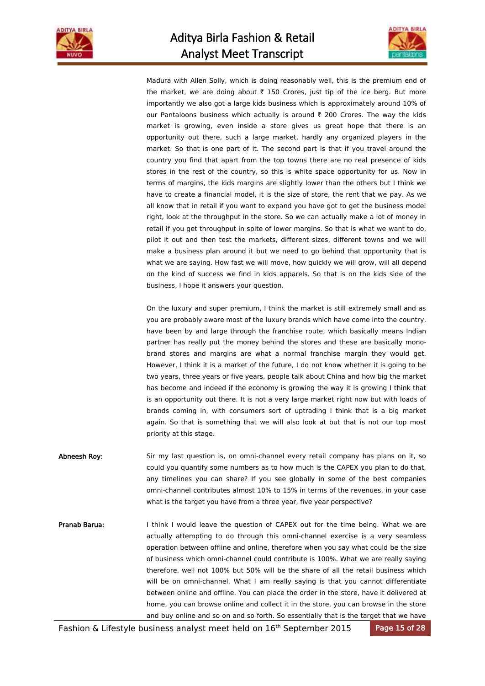



Madura with Allen Solly, which is doing reasonably well, this is the premium end of the market, we are doing about  $\bar{\tau}$  150 Crores, just tip of the ice berg. But more importantly we also got a large kids business which is approximately around 10% of our Pantaloons business which actually is around  $\bar{\tau}$  200 Crores. The way the kids market is growing, even inside a store gives us great hope that there is an opportunity out there, such a large market, hardly any organized players in the market. So that is one part of it. The second part is that if you travel around the country you find that apart from the top towns there are no real presence of kids stores in the rest of the country, so this is white space opportunity for us. Now in terms of margins, the kids margins are slightly lower than the others but I think we have to create a financial model, it is the size of store, the rent that we pay. As we all know that in retail if you want to expand you have got to get the business model right, look at the throughput in the store. So we can actually make a lot of money in retail if you get throughput in spite of lower margins. So that is what we want to do, pilot it out and then test the markets, different sizes, different towns and we will make a business plan around it but we need to go behind that opportunity that is what we are saying. How fast we will move, how quickly we will grow, will all depend on the kind of success we find in kids apparels. So that is on the kids side of the business, I hope it answers your question.

On the luxury and super premium, I think the market is still extremely small and as you are probably aware most of the luxury brands which have come into the country, have been by and large through the franchise route, which basically means Indian partner has really put the money behind the stores and these are basically monobrand stores and margins are what a normal franchise margin they would get. However, I think it is a market of the future, I do not know whether it is going to be two years, three years or five years, people talk about China and how big the market has become and indeed if the economy is growing the way it is growing I think that is an opportunity out there. It is not a very large market right now but with loads of brands coming in, with consumers sort of uptrading I think that is a big market again. So that is something that we will also look at but that is not our top most priority at this stage.

- Abneesh Roy: Sir my last question is, on omni-channel every retail company has plans on it, so could you quantify some numbers as to how much is the CAPEX you plan to do that, any timelines you can share? If you see globally in some of the best companies omni-channel contributes almost 10% to 15% in terms of the revenues, in your case what is the target you have from a three year, five year perspective?
- Pranab Barua: I think I would leave the question of CAPEX out for the time being. What we are actually attempting to do through this omni-channel exercise is a very seamless operation between offline and online, therefore when you say what could be the size of business which omni-channel could contribute is 100%. What we are really saying therefore, well not 100% but 50% will be the share of all the retail business which will be on omni-channel. What I am really saying is that you cannot differentiate between online and offline. You can place the order in the store, have it delivered at home, you can browse online and collect it in the store, you can browse in the store and buy online and so on and so forth. So essentially that is the target that we have

Fashion & Lifestyle business analyst meet held on 16<sup>th</sup> September 2015 Page 15 of 28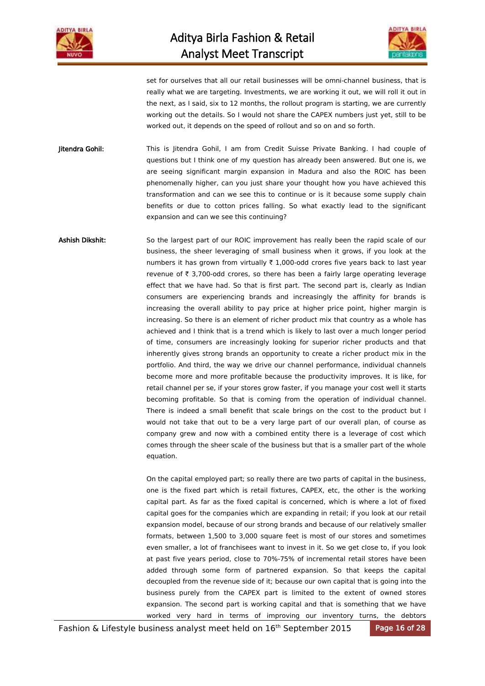



set for ourselves that all our retail businesses will be omni-channel business, that is really what we are targeting. Investments, we are working it out, we will roll it out in the next, as I said, six to 12 months, the rollout program is starting, we are currently working out the details. So I would not share the CAPEX numbers just yet, still to be worked out, it depends on the speed of rollout and so on and so forth.

**Jitendra Gohil:** This is Jitendra Gohil, I am from Credit Suisse Private Banking. I had couple of questions but I think one of my question has already been answered. But one is, we are seeing significant margin expansion in Madura and also the ROIC has been phenomenally higher, can you just share your thought how you have achieved this transformation and can we see this to continue or is it because some supply chain benefits or due to cotton prices falling. So what exactly lead to the significant expansion and can we see this continuing?

Ashish Dikshit: So the largest part of our ROIC improvement has really been the rapid scale of our business, the sheer leveraging of small business when it grows, if you look at the numbers it has grown from virtually  $\bar{\tau}$  1,000-odd crores five years back to last year revenue of  $\bar{\tau}$  3,700-odd crores, so there has been a fairly large operating leverage effect that we have had. So that is first part. The second part is, clearly as Indian consumers are experiencing brands and increasingly the affinity for brands is increasing the overall ability to pay price at higher price point, higher margin is increasing. So there is an element of richer product mix that country as a whole has achieved and I think that is a trend which is likely to last over a much longer period of time, consumers are increasingly looking for superior richer products and that inherently gives strong brands an opportunity to create a richer product mix in the portfolio. And third, the way we drive our channel performance, individual channels become more and more profitable because the productivity improves. It is like, for retail channel per se, if your stores grow faster, if you manage your cost well it starts becoming profitable. So that is coming from the operation of individual channel. There is indeed a small benefit that scale brings on the cost to the product but I would not take that out to be a very large part of our overall plan, of course as company grew and now with a combined entity there is a leverage of cost which comes through the sheer scale of the business but that is a smaller part of the whole equation.

> On the capital employed part; so really there are two parts of capital in the business, one is the fixed part which is retail fixtures, CAPEX, etc, the other is the working capital part. As far as the fixed capital is concerned, which is where a lot of fixed capital goes for the companies which are expanding in retail; if you look at our retail expansion model, because of our strong brands and because of our relatively smaller formats, between 1,500 to 3,000 square feet is most of our stores and sometimes even smaller, a lot of franchisees want to invest in it. So we get close to, if you look at past five years period, close to 70%-75% of incremental retail stores have been added through some form of partnered expansion. So that keeps the capital decoupled from the revenue side of it; because our own capital that is going into the business purely from the CAPEX part is limited to the extent of owned stores expansion. The second part is working capital and that is something that we have worked very hard in terms of improving our inventory turns, the debtors

Fashion & Lifestyle business analyst meet held on 16<sup>th</sup> September 2015 Page 16 of 28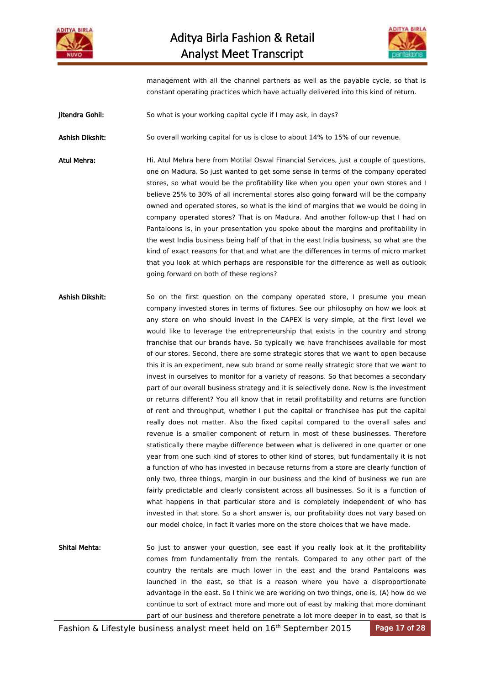



management with all the channel partners as well as the payable cycle, so that is constant operating practices which have actually delivered into this kind of return.

Jitendra Gohil: So what is your working capital cycle if I may ask, in days?

Ashish Dikshit: So overall working capital for us is close to about 14% to 15% of our revenue.

Atul Mehra: Hi, Atul Mehra here from Motilal Oswal Financial Services, just a couple of questions, one on Madura. So just wanted to get some sense in terms of the company operated stores, so what would be the profitability like when you open your own stores and I believe 25% to 30% of all incremental stores also going forward will be the company owned and operated stores, so what is the kind of margins that we would be doing in company operated stores? That is on Madura. And another follow-up that I had on Pantaloons is, in your presentation you spoke about the margins and profitability in the west India business being half of that in the east India business, so what are the kind of exact reasons for that and what are the differences in terms of micro market that you look at which perhaps are responsible for the difference as well as outlook going forward on both of these regions?

- Ashish Dikshit: So on the first question on the company operated store, I presume you mean company invested stores in terms of fixtures. See our philosophy on how we look at any store on who should invest in the CAPEX is very simple, at the first level we would like to leverage the entrepreneurship that exists in the country and strong franchise that our brands have. So typically we have franchisees available for most of our stores. Second, there are some strategic stores that we want to open because this it is an experiment, new sub brand or some really strategic store that we want to invest in ourselves to monitor for a variety of reasons. So that becomes a secondary part of our overall business strategy and it is selectively done. Now is the investment or returns different? You all know that in retail profitability and returns are function of rent and throughput, whether I put the capital or franchisee has put the capital really does not matter. Also the fixed capital compared to the overall sales and revenue is a smaller component of return in most of these businesses. Therefore statistically there maybe difference between what is delivered in one quarter or one year from one such kind of stores to other kind of stores, but fundamentally it is not a function of who has invested in because returns from a store are clearly function of only two, three things, margin in our business and the kind of business we run are fairly predictable and clearly consistent across all businesses. So it is a function of what happens in that particular store and is completely independent of who has invested in that store. So a short answer is, our profitability does not vary based on our model choice, in fact it varies more on the store choices that we have made.
- Shital Mehta: So just to answer your question, see east if you really look at it the profitability comes from fundamentally from the rentals. Compared to any other part of the country the rentals are much lower in the east and the brand Pantaloons was launched in the east, so that is a reason where you have a disproportionate advantage in the east. So I think we are working on two things, one is, (A) how do we continue to sort of extract more and more out of east by making that more dominant part of our business and therefore penetrate a lot more deeper in to east, so that is

Fashion & Lifestyle business analyst meet held on 16<sup>th</sup> September 2015 Page 17 of 28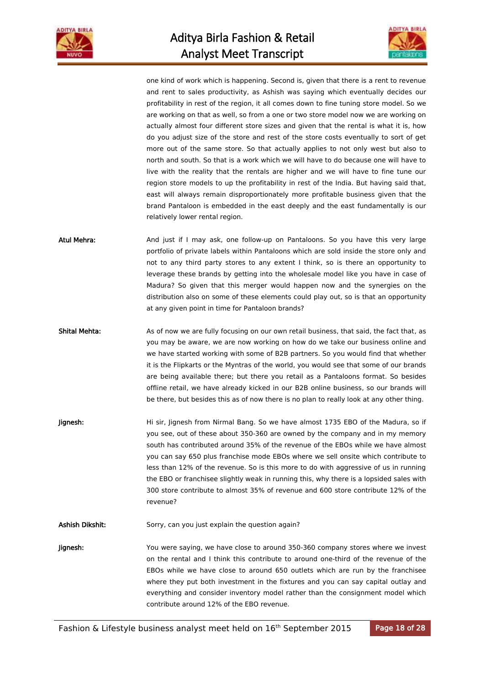



one kind of work which is happening. Second is, given that there is a rent to revenue and rent to sales productivity, as Ashish was saying which eventually decides our profitability in rest of the region, it all comes down to fine tuning store model. So we are working on that as well, so from a one or two store model now we are working on actually almost four different store sizes and given that the rental is what it is, how do you adjust size of the store and rest of the store costs eventually to sort of get more out of the same store. So that actually applies to not only west but also to north and south. So that is a work which we will have to do because one will have to live with the reality that the rentals are higher and we will have to fine tune our region store models to up the profitability in rest of the India. But having said that, east will always remain disproportionately more profitable business given that the brand Pantaloon is embedded in the east deeply and the east fundamentally is our relatively lower rental region.

Atul Mehra: And just if I may ask, one follow-up on Pantaloons. So you have this very large portfolio of private labels within Pantaloons which are sold inside the store only and not to any third party stores to any extent I think, so is there an opportunity to leverage these brands by getting into the wholesale model like you have in case of Madura? So given that this merger would happen now and the synergies on the distribution also on some of these elements could play out, so is that an opportunity at any given point in time for Pantaloon brands?

Shital Mehta: As of now we are fully focusing on our own retail business, that said, the fact that, as you may be aware, we are now working on how do we take our business online and we have started working with some of B2B partners. So you would find that whether it is the Flipkarts or the Myntras of the world, you would see that some of our brands are being available there; but there you retail as a Pantaloons format. So besides offline retail, we have already kicked in our B2B online business, so our brands will be there, but besides this as of now there is no plan to really look at any other thing.

**Jignesh:** Hi sir, Jignesh from Nirmal Bang. So we have almost 1735 EBO of the Madura, so if you see, out of these about 350-360 are owned by the company and in my memory south has contributed around 35% of the revenue of the EBOs while we have almost you can say 650 plus franchise mode EBOs where we sell onsite which contribute to less than 12% of the revenue. So is this more to do with aggressive of us in running the EBO or franchisee slightly weak in running this, why there is a lopsided sales with 300 store contribute to almost 35% of revenue and 600 store contribute 12% of the revenue?

Ashish Dikshit: Sorry, can you just explain the question again?

Jignesh: You were saying, we have close to around 350-360 company stores where we invest on the rental and I think this contribute to around one-third of the revenue of the EBOs while we have close to around 650 outlets which are run by the franchisee where they put both investment in the fixtures and you can say capital outlay and everything and consider inventory model rather than the consignment model which contribute around 12% of the EBO revenue.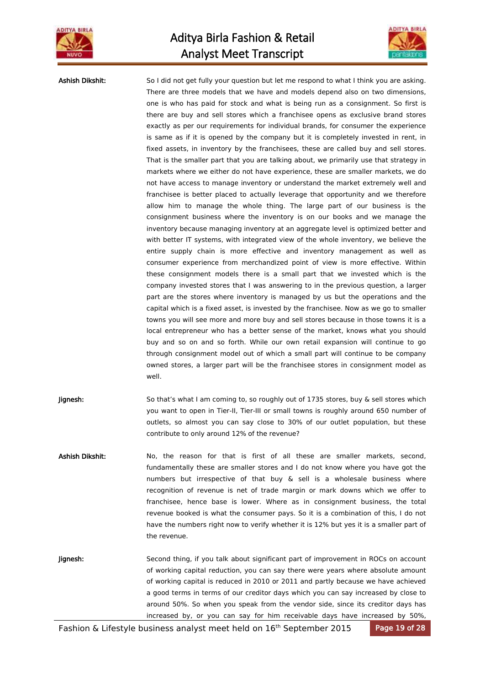



Ashish Dikshit: So I did not get fully your question but let me respond to what I think you are asking. There are three models that we have and models depend also on two dimensions, one is who has paid for stock and what is being run as a consignment. So first is there are buy and sell stores which a franchisee opens as exclusive brand stores exactly as per our requirements for individual brands, for consumer the experience is same as if it is opened by the company but it is completely invested in rent, in fixed assets, in inventory by the franchisees, these are called buy and sell stores. That is the smaller part that you are talking about, we primarily use that strategy in markets where we either do not have experience, these are smaller markets, we do not have access to manage inventory or understand the market extremely well and franchisee is better placed to actually leverage that opportunity and we therefore allow him to manage the whole thing. The large part of our business is the consignment business where the inventory is on our books and we manage the inventory because managing inventory at an aggregate level is optimized better and with better IT systems, with integrated view of the whole inventory, we believe the entire supply chain is more effective and inventory management as well as consumer experience from merchandized point of view is more effective. Within these consignment models there is a small part that we invested which is the company invested stores that I was answering to in the previous question, a larger part are the stores where inventory is managed by us but the operations and the capital which is a fixed asset, is invested by the franchisee. Now as we go to smaller towns you will see more and more buy and sell stores because in those towns it is a local entrepreneur who has a better sense of the market, knows what you should buy and so on and so forth. While our own retail expansion will continue to go through consignment model out of which a small part will continue to be company owned stores, a larger part will be the franchisee stores in consignment model as well.

- **Jignesh:** So that's what I am coming to, so roughly out of 1735 stores, buy & sell stores which you want to open in Tier-II, Tier-III or small towns is roughly around 650 number of outlets, so almost you can say close to 30% of our outlet population, but these contribute to only around 12% of the revenue?
- Ashish Dikshit: No, the reason for that is first of all these are smaller markets, second, fundamentally these are smaller stores and I do not know where you have got the numbers but irrespective of that buy & sell is a wholesale business where recognition of revenue is net of trade margin or mark downs which we offer to franchisee, hence base is lower. Where as in consignment business, the total revenue booked is what the consumer pays. So it is a combination of this, I do not have the numbers right now to verify whether it is 12% but yes it is a smaller part of the revenue.
- Jignesh: Second thing, if you talk about significant part of improvement in ROCs on account of working capital reduction, you can say there were years where absolute amount of working capital is reduced in 2010 or 2011 and partly because we have achieved a good terms in terms of our creditor days which you can say increased by close to around 50%. So when you speak from the vendor side, since its creditor days has increased by, or you can say for him receivable days have increased by 50%,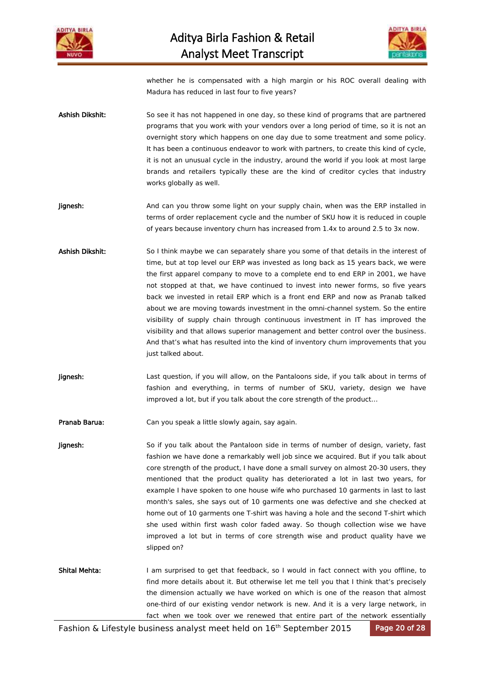



whether he is compensated with a high margin or his ROC overall dealing with Madura has reduced in last four to five years?

- Ashish Dikshit: So see it has not happened in one day, so these kind of programs that are partnered programs that you work with your vendors over a long period of time, so it is not an overnight story which happens on one day due to some treatment and some policy. It has been a continuous endeavor to work with partners, to create this kind of cycle, it is not an unusual cycle in the industry, around the world if you look at most large brands and retailers typically these are the kind of creditor cycles that industry works globally as well.
- **Jignesh:** And can you throw some light on your supply chain, when was the ERP installed in terms of order replacement cycle and the number of SKU how it is reduced in couple of years because inventory churn has increased from 1.4x to around 2.5 to 3x now.
- Ashish Dikshit: So I think maybe we can separately share you some of that details in the interest of time, but at top level our ERP was invested as long back as 15 years back, we were the first apparel company to move to a complete end to end ERP in 2001, we have not stopped at that, we have continued to invest into newer forms, so five years back we invested in retail ERP which is a front end ERP and now as Pranab talked about we are moving towards investment in the omni-channel system. So the entire visibility of supply chain through continuous investment in IT has improved the visibility and that allows superior management and better control over the business. And that's what has resulted into the kind of inventory churn improvements that you just talked about.
- **Jignesh:** Last question, if you will allow, on the Pantaloons side, if you talk about in terms of fashion and everything, in terms of number of SKU, variety, design we have improved a lot, but if you talk about the core strength of the product…
- Pranab Barua: Can you speak a little slowly again, say again.
- **Jignesh:** So if you talk about the Pantaloon side in terms of number of design, variety, fast fashion we have done a remarkably well job since we acquired. But if you talk about core strength of the product, I have done a small survey on almost 20-30 users, they mentioned that the product quality has deteriorated a lot in last two years, for example I have spoken to one house wife who purchased 10 garments in last to last month's sales, she says out of 10 garments one was defective and she checked at home out of 10 garments one T-shirt was having a hole and the second T-shirt which she used within first wash color faded away. So though collection wise we have improved a lot but in terms of core strength wise and product quality have we slipped on?
- Shital Mehta: I am surprised to get that feedback, so I would in fact connect with you offline, to find more details about it. But otherwise let me tell you that I think that's precisely the dimension actually we have worked on which is one of the reason that almost one-third of our existing vendor network is new. And it is a very large network, in fact when we took over we renewed that entire part of the network essentially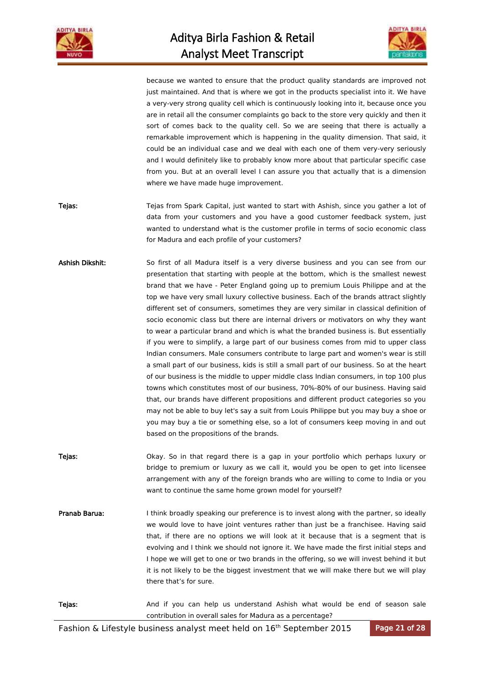



because we wanted to ensure that the product quality standards are improved not just maintained. And that is where we got in the products specialist into it. We have a very-very strong quality cell which is continuously looking into it, because once you are in retail all the consumer complaints go back to the store very quickly and then it sort of comes back to the quality cell. So we are seeing that there is actually a remarkable improvement which is happening in the quality dimension. That said, it could be an individual case and we deal with each one of them very-very seriously and I would definitely like to probably know more about that particular specific case from you. But at an overall level I can assure you that actually that is a dimension where we have made huge improvement.

- Tejas: Tejas from Spark Capital, just wanted to start with Ashish, since you gather a lot of data from your customers and you have a good customer feedback system, just wanted to understand what is the customer profile in terms of socio economic class for Madura and each profile of your customers?
- Ashish Dikshit: So first of all Madura itself is a very diverse business and you can see from our presentation that starting with people at the bottom, which is the smallest newest brand that we have - Peter England going up to premium Louis Philippe and at the top we have very small luxury collective business. Each of the brands attract slightly different set of consumers, sometimes they are very similar in classical definition of socio economic class but there are internal drivers or motivators on why they want to wear a particular brand and which is what the branded business is. But essentially if you were to simplify, a large part of our business comes from mid to upper class Indian consumers. Male consumers contribute to large part and women's wear is still a small part of our business, kids is still a small part of our business. So at the heart of our business is the middle to upper middle class Indian consumers, in top 100 plus towns which constitutes most of our business, 70%-80% of our business. Having said that, our brands have different propositions and different product categories so you may not be able to buy let's say a suit from Louis Philippe but you may buy a shoe or you may buy a tie or something else, so a lot of consumers keep moving in and out based on the propositions of the brands.
- Tejas: **Detay.** Okay. So in that regard there is a gap in your portfolio which perhaps luxury or bridge to premium or luxury as we call it, would you be open to get into licensee arrangement with any of the foreign brands who are willing to come to India or you want to continue the same home grown model for yourself?
- Pranab Barua: I think broadly speaking our preference is to invest along with the partner, so ideally we would love to have joint ventures rather than just be a franchisee. Having said that, if there are no options we will look at it because that is a segment that is evolving and I think we should not ignore it. We have made the first initial steps and I hope we will get to one or two brands in the offering, so we will invest behind it but it is not likely to be the biggest investment that we will make there but we will play there that's for sure.



Fashion & Lifestyle business analyst meet held on 16<sup>th</sup> September 2015 Page 21 of 28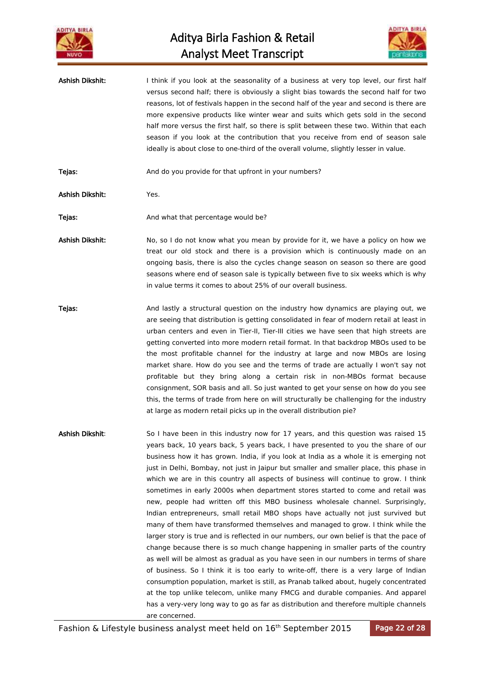



Ashish Dikshit: I think if you look at the seasonality of a business at very top level, our first half versus second half; there is obviously a slight bias towards the second half for two reasons, lot of festivals happen in the second half of the year and second is there are more expensive products like winter wear and suits which gets sold in the second half more versus the first half, so there is split between these two. Within that each season if you look at the contribution that you receive from end of season sale ideally is about close to one-third of the overall volume, slightly lesser in value.

Tejas: **And do you provide for that upfront in your numbers?** And do you provide for that upfront in your numbers?

Ashish Dikshit: Yes.

Tejas: Tejas: And what that percentage would be?

Ashish Dikshit: No, so I do not know what you mean by provide for it, we have a policy on how we treat our old stock and there is a provision which is continuously made on an ongoing basis, there is also the cycles change season on season so there are good seasons where end of season sale is typically between five to six weeks which is why in value terms it comes to about 25% of our overall business.

**Tejas:** And lastly a structural question on the industry how dynamics are playing out, we are seeing that distribution is getting consolidated in fear of modern retail at least in urban centers and even in Tier-II, Tier-III cities we have seen that high streets are getting converted into more modern retail format. In that backdrop MBOs used to be the most profitable channel for the industry at large and now MBOs are losing market share. How do you see and the terms of trade are actually I won't say not profitable but they bring along a certain risk in non-MBOs format because consignment, SOR basis and all. So just wanted to get your sense on how do you see this, the terms of trade from here on will structurally be challenging for the industry at large as modern retail picks up in the overall distribution pie?

Ashish Dikshit: So I have been in this industry now for 17 years, and this question was raised 15 years back, 10 years back, 5 years back, I have presented to you the share of our business how it has grown. India, if you look at India as a whole it is emerging not just in Delhi, Bombay, not just in Jaipur but smaller and smaller place, this phase in which we are in this country all aspects of business will continue to grow. I think sometimes in early 2000s when department stores started to come and retail was new, people had written off this MBO business wholesale channel. Surprisingly, Indian entrepreneurs, small retail MBO shops have actually not just survived but many of them have transformed themselves and managed to grow. I think while the larger story is true and is reflected in our numbers, our own belief is that the pace of change because there is so much change happening in smaller parts of the country as well will be almost as gradual as you have seen in our numbers in terms of share of business. So I think it is too early to write-off, there is a very large of Indian consumption population, market is still, as Pranab talked about, hugely concentrated at the top unlike telecom, unlike many FMCG and durable companies. And apparel has a very-very long way to go as far as distribution and therefore multiple channels

are concerned.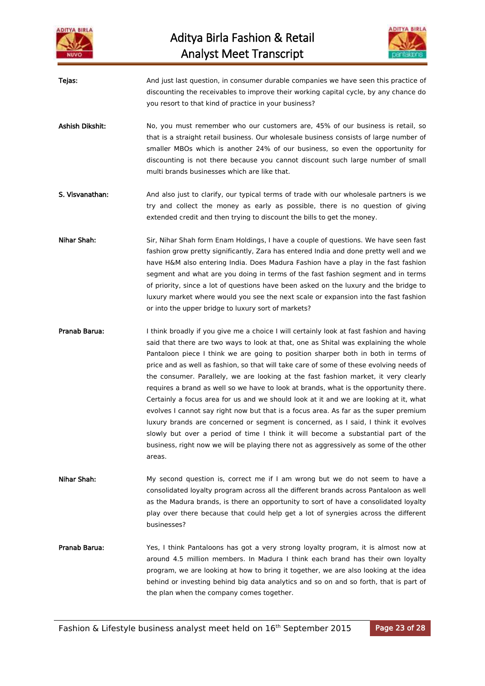



Tejas: And just last question, in consumer durable companies we have seen this practice of discounting the receivables to improve their working capital cycle, by any chance do you resort to that kind of practice in your business?

- Ashish Dikshit: No, you must remember who our customers are, 45% of our business is retail, so that is a straight retail business. Our wholesale business consists of large number of smaller MBOs which is another 24% of our business, so even the opportunity for discounting is not there because you cannot discount such large number of small multi brands businesses which are like that.
- S. Visvanathan: And also just to clarify, our typical terms of trade with our wholesale partners is we try and collect the money as early as possible, there is no question of giving extended credit and then trying to discount the bills to get the money.
- Nihar Shah: Sir, Nihar Shah form Enam Holdings, I have a couple of questions. We have seen fast fashion grow pretty significantly, Zara has entered India and done pretty well and we have H&M also entering India. Does Madura Fashion have a play in the fast fashion segment and what are you doing in terms of the fast fashion segment and in terms of priority, since a lot of questions have been asked on the luxury and the bridge to luxury market where would you see the next scale or expansion into the fast fashion or into the upper bridge to luxury sort of markets?
- Pranab Barua: I think broadly if you give me a choice I will certainly look at fast fashion and having said that there are two ways to look at that, one as Shital was explaining the whole Pantaloon piece I think we are going to position sharper both in both in terms of price and as well as fashion, so that will take care of some of these evolving needs of the consumer. Parallely, we are looking at the fast fashion market, it very clearly requires a brand as well so we have to look at brands, what is the opportunity there. Certainly a focus area for us and we should look at it and we are looking at it, what evolves I cannot say right now but that is a focus area. As far as the super premium luxury brands are concerned or segment is concerned, as I said, I think it evolves slowly but over a period of time I think it will become a substantial part of the business, right now we will be playing there not as aggressively as some of the other areas.
- Nihar Shah: My second question is, correct me if I am wrong but we do not seem to have a consolidated loyalty program across all the different brands across Pantaloon as well as the Madura brands, is there an opportunity to sort of have a consolidated loyalty play over there because that could help get a lot of synergies across the different businesses?
- Pranab Barua: Yes, I think Pantaloons has got a very strong loyalty program, it is almost now at around 4.5 million members. In Madura I think each brand has their own loyalty program, we are looking at how to bring it together, we are also looking at the idea behind or investing behind big data analytics and so on and so forth, that is part of the plan when the company comes together.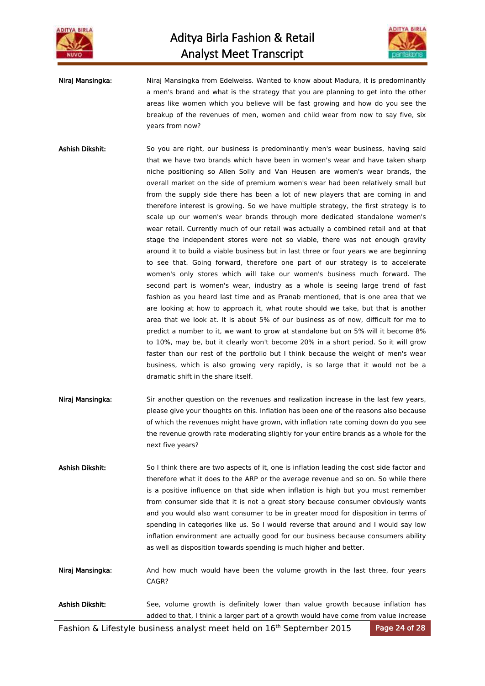



Niraj Mansingka: Niraj Mansingka from Edelweiss. Wanted to know about Madura, it is predominantly a men's brand and what is the strategy that you are planning to get into the other areas like women which you believe will be fast growing and how do you see the breakup of the revenues of men, women and child wear from now to say five, six years from now?

Ashish Dikshit: So you are right, our business is predominantly men's wear business, having said that we have two brands which have been in women's wear and have taken sharp niche positioning so Allen Solly and Van Heusen are women's wear brands, the overall market on the side of premium women's wear had been relatively small but from the supply side there has been a lot of new players that are coming in and therefore interest is growing. So we have multiple strategy, the first strategy is to scale up our women's wear brands through more dedicated standalone women's wear retail. Currently much of our retail was actually a combined retail and at that stage the independent stores were not so viable, there was not enough gravity around it to build a viable business but in last three or four years we are beginning to see that. Going forward, therefore one part of our strategy is to accelerate women's only stores which will take our women's business much forward. The second part is women's wear, industry as a whole is seeing large trend of fast fashion as you heard last time and as Pranab mentioned, that is one area that we are looking at how to approach it, what route should we take, but that is another area that we look at. It is about 5% of our business as of now, difficult for me to predict a number to it, we want to grow at standalone but on 5% will it become 8% to 10%, may be, but it clearly won't become 20% in a short period. So it will grow faster than our rest of the portfolio but I think because the weight of men's wear business, which is also growing very rapidly, is so large that it would not be a dramatic shift in the share itself.

Niraj Mansingka: Sir another question on the revenues and realization increase in the last few years, please give your thoughts on this. Inflation has been one of the reasons also because of which the revenues might have grown, with inflation rate coming down do you see the revenue growth rate moderating slightly for your entire brands as a whole for the next five years?

Ashish Dikshit: So I think there are two aspects of it, one is inflation leading the cost side factor and therefore what it does to the ARP or the average revenue and so on. So while there is a positive influence on that side when inflation is high but you must remember from consumer side that it is not a great story because consumer obviously wants and you would also want consumer to be in greater mood for disposition in terms of spending in categories like us. So I would reverse that around and I would say low inflation environment are actually good for our business because consumers ability as well as disposition towards spending is much higher and better.

Niraj Mansingka: And how much would have been the volume growth in the last three, four years CAGR?

## Ashish Dikshit: See, volume growth is definitely lower than value growth because inflation has added to that, I think a larger part of a growth would have come from value increase

Fashion & Lifestyle business analyst meet held on 16<sup>th</sup> September 2015 Page 24 of 28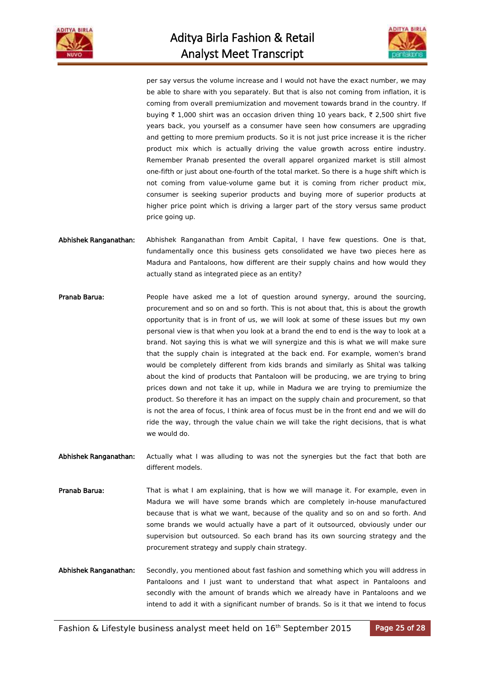



per say versus the volume increase and I would not have the exact number, we may be able to share with you separately. But that is also not coming from inflation, it is coming from overall premiumization and movement towards brand in the country. If buying  $\bar{\tau}$  1,000 shirt was an occasion driven thing 10 years back,  $\bar{\tau}$  2,500 shirt five years back, you yourself as a consumer have seen how consumers are upgrading and getting to more premium products. So it is not just price increase it is the richer product mix which is actually driving the value growth across entire industry. Remember Pranab presented the overall apparel organized market is still almost one-fifth or just about one-fourth of the total market. So there is a huge shift which is not coming from value-volume game but it is coming from richer product mix, consumer is seeking superior products and buying more of superior products at higher price point which is driving a larger part of the story versus same product price going up.

- Abhishek Ranganathan: Abhishek Ranganathan from Ambit Capital, I have few questions. One is that, fundamentally once this business gets consolidated we have two pieces here as Madura and Pantaloons, how different are their supply chains and how would they actually stand as integrated piece as an entity?
- Pranab Barua: People have asked me a lot of question around synergy, around the sourcing, procurement and so on and so forth. This is not about that, this is about the growth opportunity that is in front of us, we will look at some of these issues but my own personal view is that when you look at a brand the end to end is the way to look at a brand. Not saying this is what we will synergize and this is what we will make sure that the supply chain is integrated at the back end. For example, women's brand would be completely different from kids brands and similarly as Shital was talking about the kind of products that Pantaloon will be producing, we are trying to bring prices down and not take it up, while in Madura we are trying to premiumize the product. So therefore it has an impact on the supply chain and procurement, so that is not the area of focus, I think area of focus must be in the front end and we will do ride the way, through the value chain we will take the right decisions, that is what we would do.
- Abhishek Ranganathan: Actually what I was alluding to was not the synergies but the fact that both are different models.
- Pranab Barua: That is what I am explaining, that is how we will manage it. For example, even in Madura we will have some brands which are completely in-house manufactured because that is what we want, because of the quality and so on and so forth. And some brands we would actually have a part of it outsourced, obviously under our supervision but outsourced. So each brand has its own sourcing strategy and the procurement strategy and supply chain strategy.
- Abhishek Ranganathan: Secondly, you mentioned about fast fashion and something which you will address in Pantaloons and I just want to understand that what aspect in Pantaloons and secondly with the amount of brands which we already have in Pantaloons and we intend to add it with a significant number of brands. So is it that we intend to focus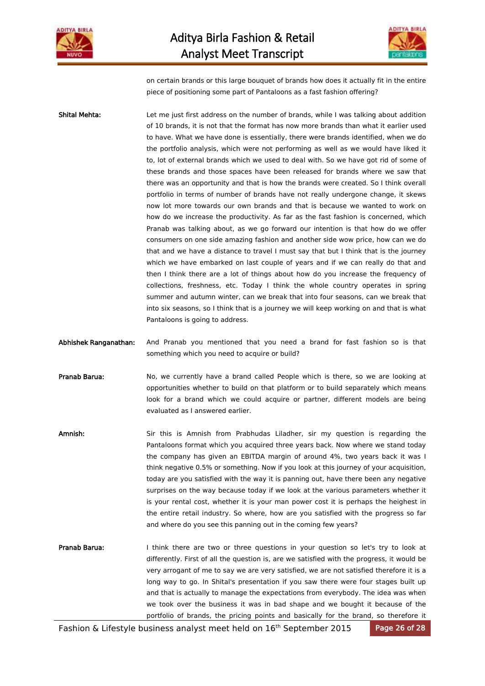



on certain brands or this large bouquet of brands how does it actually fit in the entire piece of positioning some part of Pantaloons as a fast fashion offering?

Shital Mehta: Let me just first address on the number of brands, while I was talking about addition of 10 brands, it is not that the format has now more brands than what it earlier used to have. What we have done is essentially, there were brands identified, when we do the portfolio analysis, which were not performing as well as we would have liked it to, lot of external brands which we used to deal with. So we have got rid of some of these brands and those spaces have been released for brands where we saw that there was an opportunity and that is how the brands were created. So I think overall portfolio in terms of number of brands have not really undergone change, it skews now lot more towards our own brands and that is because we wanted to work on how do we increase the productivity. As far as the fast fashion is concerned, which Pranab was talking about, as we go forward our intention is that how do we offer consumers on one side amazing fashion and another side wow price, how can we do that and we have a distance to travel I must say that but I think that is the journey which we have embarked on last couple of years and if we can really do that and then I think there are a lot of things about how do you increase the frequency of collections, freshness, etc. Today I think the whole country operates in spring summer and autumn winter, can we break that into four seasons, can we break that into six seasons, so I think that is a journey we will keep working on and that is what Pantaloons is going to address.

Abhishek Ranganathan: And Pranab you mentioned that you need a brand for fast fashion so is that something which you need to acquire or build?

Pranab Barua: No, we currently have a brand called People which is there, so we are looking at opportunities whether to build on that platform or to build separately which means look for a brand which we could acquire or partner, different models are being evaluated as I answered earlier.

Amnish: Sir this is Amnish from Prabhudas Liladher, sir my question is regarding the Pantaloons format which you acquired three years back. Now where we stand today the company has given an EBITDA margin of around 4%, two years back it was I think negative 0.5% or something. Now if you look at this journey of your acquisition, today are you satisfied with the way it is panning out, have there been any negative surprises on the way because today if we look at the various parameters whether it is your rental cost, whether it is your man power cost it is perhaps the heighest in the entire retail industry. So where, how are you satisfied with the progress so far and where do you see this panning out in the coming few years?

Pranab Barua: I think there are two or three questions in your question so let's try to look at differently. First of all the question is, are we satisfied with the progress, it would be very arrogant of me to say we are very satisfied, we are not satisfied therefore it is a long way to go. In Shital's presentation if you saw there were four stages built up and that is actually to manage the expectations from everybody. The idea was when we took over the business it was in bad shape and we bought it because of the portfolio of brands, the pricing points and basically for the brand, so therefore it

Fashion & Lifestyle business analyst meet held on 16<sup>th</sup> September 2015 Page 26 of 28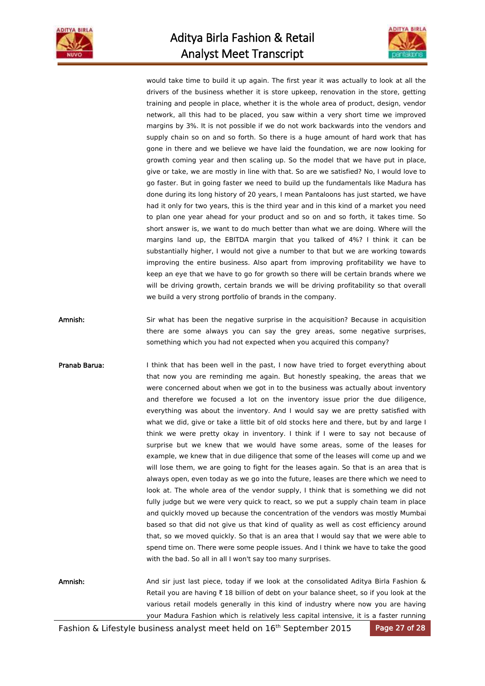



would take time to build it up again. The first year it was actually to look at all the drivers of the business whether it is store upkeep, renovation in the store, getting training and people in place, whether it is the whole area of product, design, vendor network, all this had to be placed, you saw within a very short time we improved margins by 3%. It is not possible if we do not work backwards into the vendors and supply chain so on and so forth. So there is a huge amount of hard work that has gone in there and we believe we have laid the foundation, we are now looking for growth coming year and then scaling up. So the model that we have put in place, give or take, we are mostly in line with that. So are we satisfied? No, I would love to go faster. But in going faster we need to build up the fundamentals like Madura has done during its long history of 20 years, I mean Pantaloons has just started, we have had it only for two years, this is the third year and in this kind of a market you need to plan one year ahead for your product and so on and so forth, it takes time. So short answer is, we want to do much better than what we are doing. Where will the margins land up, the EBITDA margin that you talked of 4%? I think it can be substantially higher, I would not give a number to that but we are working towards improving the entire business. Also apart from improving profitability we have to keep an eye that we have to go for growth so there will be certain brands where we will be driving growth, certain brands we will be driving profitability so that overall we build a very strong portfolio of brands in the company.

Amnish: Sir what has been the negative surprise in the acquisition? Because in acquisition there are some always you can say the grey areas, some negative surprises, something which you had not expected when you acquired this company?

Pranab Barua: I think that has been well in the past, I now have tried to forget everything about that now you are reminding me again. But honestly speaking, the areas that we were concerned about when we got in to the business was actually about inventory and therefore we focused a lot on the inventory issue prior the due diligence, everything was about the inventory. And I would say we are pretty satisfied with what we did, give or take a little bit of old stocks here and there, but by and large I think we were pretty okay in inventory. I think if I were to say not because of surprise but we knew that we would have some areas, some of the leases for example, we knew that in due diligence that some of the leases will come up and we will lose them, we are going to fight for the leases again. So that is an area that is always open, even today as we go into the future, leases are there which we need to look at. The whole area of the vendor supply, I think that is something we did not fully judge but we were very quick to react, so we put a supply chain team in place and quickly moved up because the concentration of the vendors was mostly Mumbai based so that did not give us that kind of quality as well as cost efficiency around that, so we moved quickly. So that is an area that I would say that we were able to spend time on. There were some people issues. And I think we have to take the good with the bad. So all in all I won't say too many surprises.

Amnish: And sir just last piece, today if we look at the consolidated Aditya Birla Fashion & Retail you are having  $\bar{\tau}$  18 billion of debt on your balance sheet, so if you look at the various retail models generally in this kind of industry where now you are having your Madura Fashion which is relatively less capital intensive, it is a faster running